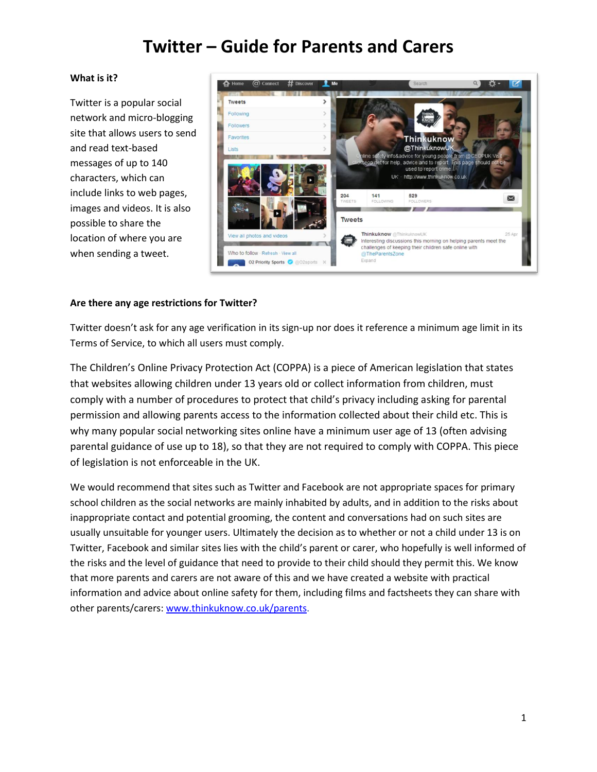#### **What is it?**

Twitter is a popular social network and micro-blogging site that allows users to send and read text-based messages of up to 140 characters, which can include links to web pages, images and videos. It is also possible to share the location of where you are when sending a tweet.



### **Are there any age restrictions for Twitter?**

Twitter doesn't ask for any age verification in its sign-up nor does it reference a minimum age limit in its Terms of Service, to which all users must comply.

The Children's Online Privacy Protection Act (COPPA) is a piece of American legislation that states that websites allowing children under 13 years old or collect information from children, must comply with a number of procedures to protect that child's privacy including asking for parental permission and allowing parents access to the information collected about their child etc. This is why many popular social networking sites online have a minimum user age of 13 (often advising parental guidance of use up to 18), so that they are not required to comply with COPPA. This piece of legislation is not enforceable in the UK.

We would recommend that sites such as Twitter and Facebook are not appropriate spaces for primary school children as the social networks are mainly inhabited by adults, and in addition to the risks about inappropriate contact and potential grooming, the content and conversations had on such sites are usually unsuitable for younger users. Ultimately the decision as to whether or not a child under 13 is on Twitter, Facebook and similar sites lies with the child's parent or carer, who hopefully is well informed of the risks and the level of guidance that need to provide to their child should they permit this. We know that more parents and carers are not aware of this and we have created a website with practical information and advice about online safety for them, including films and factsheets they can share with other parents/carers: [www.thinkuknow.co.uk/parents.](http://www.thinkuknow.co.uk/parents)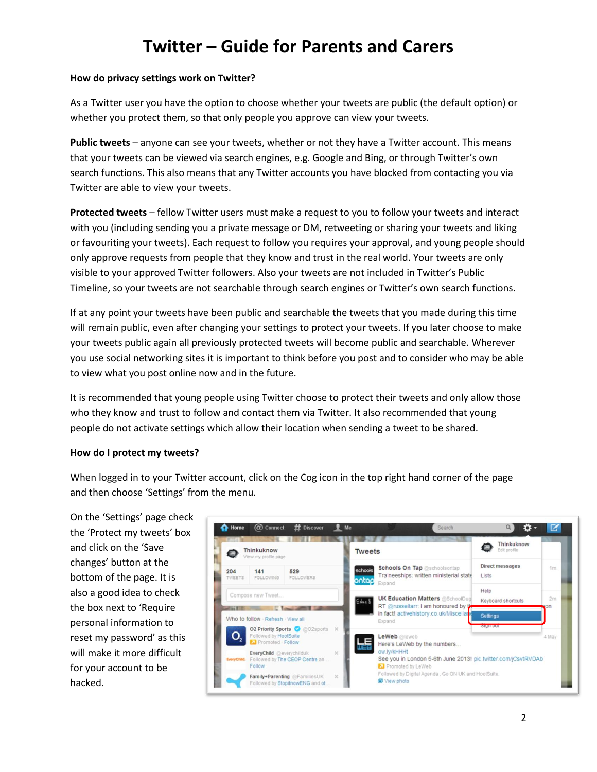### **How do privacy settings work on Twitter?**

As a Twitter user you have the option to choose whether your tweets are public (the default option) or whether you protect them, so that only people you approve can view your tweets.

**Public tweets** – anyone can see your tweets, whether or not they have a Twitter account. This means that your tweets can be viewed via search engines, e.g. Google and Bing, or through Twitter's own search functions. This also means that any Twitter accounts you have blocked from contacting you via Twitter are able to view your tweets.

**Protected tweets** – fellow Twitter users must make a request to you to follow your tweets and interact with you (including sending you a private message or DM, retweeting or sharing your tweets and liking or favouriting your tweets). Each request to follow you requires your approval, and young people should only approve requests from people that they know and trust in the real world. Your tweets are only visible to your approved Twitter followers. Also your tweets are not included in Twitter's Public Timeline, so your tweets are not searchable through search engines or Twitter's own search functions.

If at any point your tweets have been public and searchable the tweets that you made during this time will remain public, even after changing your settings to protect your tweets. If you later choose to make your tweets public again all previously protected tweets will become public and searchable. Wherever you use social networking sites it is important to think before you post and to consider who may be able to view what you post online now and in the future.

It is recommended that young people using Twitter choose to protect their tweets and only allow those who they know and trust to follow and contact them via Twitter. It also recommended that young people do not activate settings which allow their location when sending a tweet to be shared.

### **How do I protect my tweets?**

When logged in to your Twitter account, click on the Cog icon in the top right hand corner of the page and then choose 'Settings' from the menu.

On the 'Settings' page check the 'Protect my tweets' box and click on the 'Save changes' button at the bottom of the page. It is also a good idea to check the box next to 'Require personal information to reset my password' as this will make it more difficult for your account to be hacked.

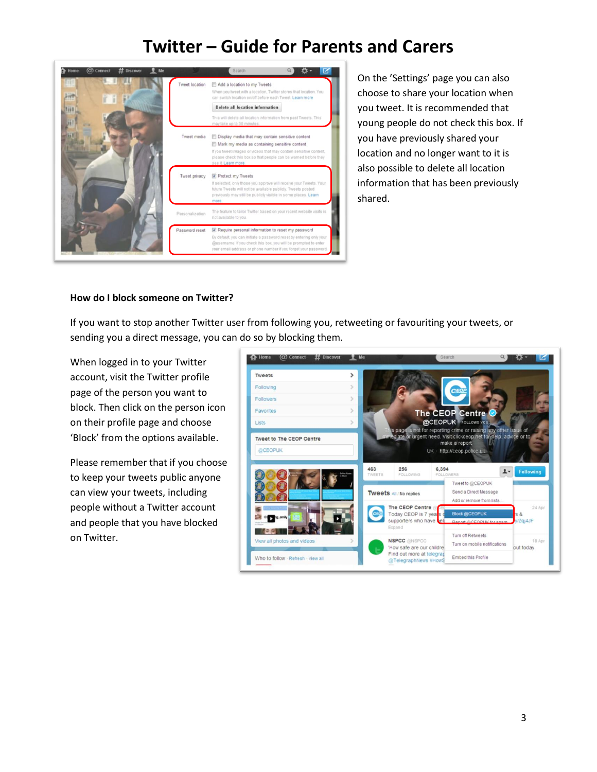

On the 'Settings' page you can also choose to share your location when you tweet. It is recommended that young people do not check this box. If you have previously shared your location and no longer want to it is also possible to delete all location information that has been previously shared.

### **How do I block someone on Twitter?**

If you want to stop another Twitter user from following you, retweeting or favouriting your tweets, or sending you a direct message, you can do so by blocking them.

When logged in to your Twitter account, visit the Twitter profile page of the person you want to block. Then click on the person icon on their profile page and choose 'Block' from the options available.

Please remember that if you choose to keep your tweets public anyone can view your tweets, including people without a Twitter account and people that you have blocked on Twitter.